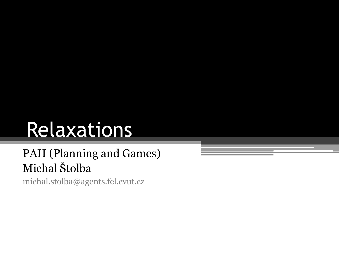# Relaxations

#### PAH (Planning and Games) Michal Štolba

michal.stolba@agents.fel.cvut.cz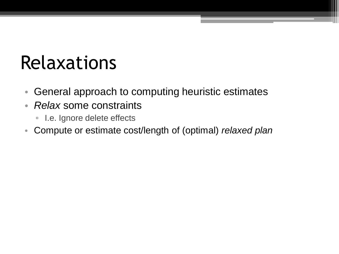### Relaxations

- General approach to computing heuristic estimates
- *Relax* some constraints
	- I.e. Ignore delete effects
- Compute or estimate cost/length of (optimal) *relaxed plan*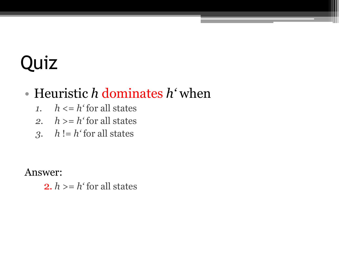#### • Heuristic *h* dominates *h'* when

- 1.  $h \leq h'$  for all states
- 2.  $h \ge h'$  for all states
- *3. h* != *h'* for all states

Answer:

2.  $h \ge h'$  for all states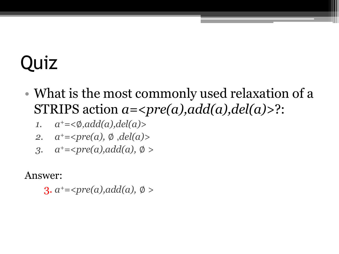- What is the most commonly used relaxation of a STRIPS action *a=<pre(a),add(a),del(a)>*?:
	- *1. a <sup>+</sup>=<*∅,*add(a),del(a)>*
	- *2. a <sup>+</sup>=<pre(a),* ∅ ,*del(a)>*
	- *3. a <sup>+</sup>=<pre(a),add(a),* ∅ *>*

Answer:

 $3. a<sup>+</sup>= *pre(a), add(a), \emptyset*$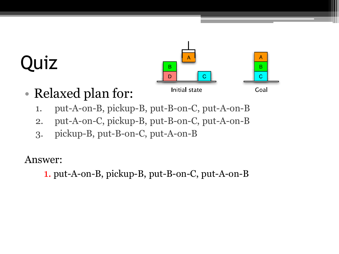

- Relaxed plan for:
	- 1. put-A-on-B, pickup-B, put-B-on-C, put-A-on-B
	- 2. put-A-on-C, pickup-B, put-B-on-C, put-A-on-B
	- 3. pickup-B, put-B-on-C, put-A-on-B

Answer:

1. put-A-on-B, pickup-B, put-B-on-C, put-A-on-B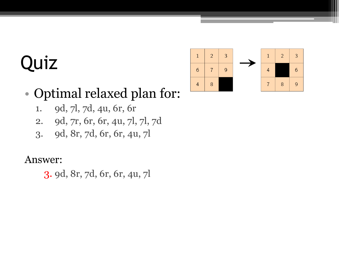

#### • Optimal relaxed plan for:

- 1. 9d, 7l, 7d, 4u, 6r, 6r
- 2. 9d, 7r, 6r, 6r, 4u, 7l, 7l, 7d
- 3. 9d, 8r, 7d, 6r, 6r, 4u, 7l

#### Answer:

3. 9d, 8r, 7d, 6r, 6r, 4u, 7l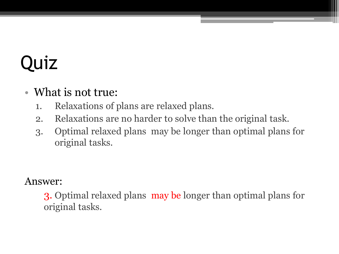#### • What is not true:

- 1. Relaxations of plans are relaxed plans.
- 2. Relaxations are no harder to solve than the original task.
- 3. Optimal relaxed plans may be longer than optimal plans for original tasks.

#### Answer:

3. Optimal relaxed plans may be longer than optimal plans for original tasks.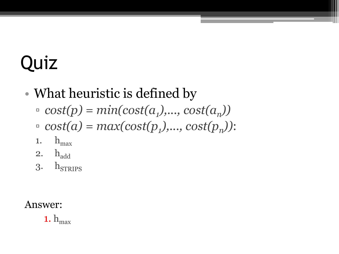### • What heuristic is defined by

- $\Gamma$  *cost(p)* =  $min(cost(a_1),..., cost(a_n))$
- $\Gamma$  *cost(a)* =  $max(cost(p_1),..., cost(p_n))$ :
- 1.  $h_{\text{max}}$
- 2.  $h_{add}$
- $3.$  h<sub>STRIPS</sub>

#### Answer:

1.  $h_{max}$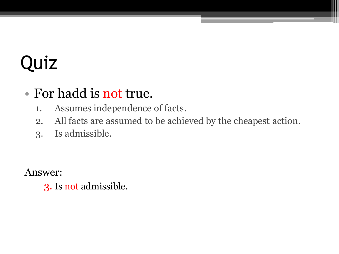#### • For hadd is not true.

- 1. Assumes independence of facts.
- 2. All facts are assumed to be achieved by the cheapest action.
- 3. Is admissible.

Answer:

3. Is not admissible.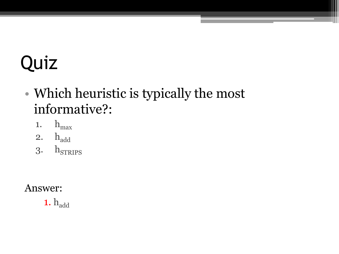#### • Which heuristic is typically the most informative?:

- 1.  $h_{max}$
- 2. h<sub>add</sub>
- $3.$  h<sub>STRIPS</sub>

#### Answer:

1. h<sub>add</sub>